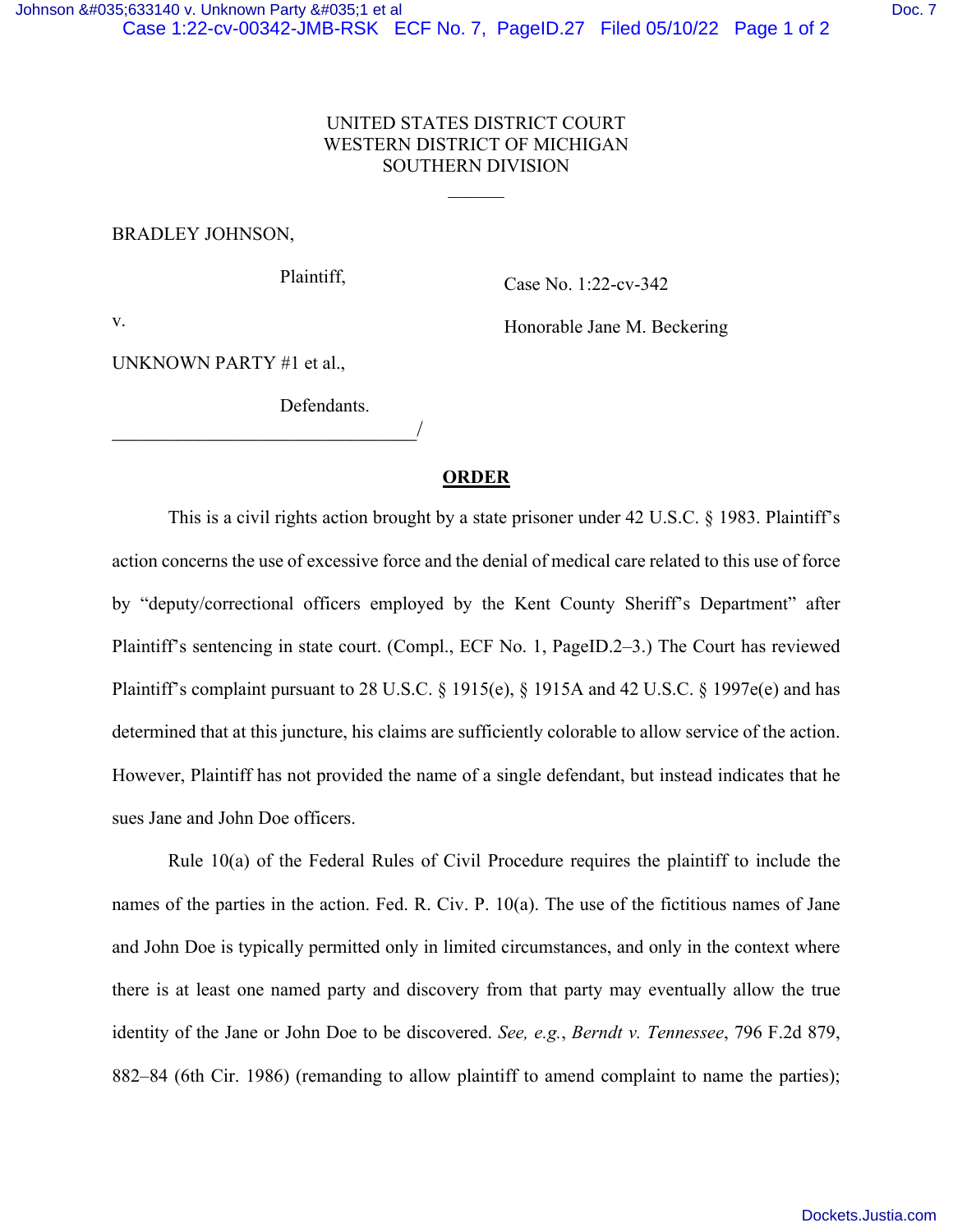$\frac{1}{2}$ 

## BRADLEY JOHNSON,

Plaintiff,

Case No. 1:22-cv-342

v.

Honorable Jane M. Beckering

UNKNOWN PARTY #1 et al.,

\_\_\_\_\_\_\_\_\_\_\_\_\_\_\_\_\_\_\_\_\_\_\_\_\_\_\_\_/

Defendants.

## **ORDER**

This is a civil rights action brought by a state prisoner under 42 U.S.C. § 1983. Plaintiff's action concerns the use of excessive force and the denial of medical care related to this use of force by "deputy/correctional officers employed by the Kent County Sheriff's Department" after Plaintiff's sentencing in state court. (Compl., ECF No. 1, PageID.2–3.) The Court has reviewed Plaintiff's complaint pursuant to 28 U.S.C. § 1915(e), § 1915A and 42 U.S.C. § 1997e(e) and has determined that at this juncture, his claims are sufficiently colorable to allow service of the action. However, Plaintiff has not provided the name of a single defendant, but instead indicates that he sues Jane and John Doe officers.

Rule 10(a) of the Federal Rules of Civil Procedure requires the plaintiff to include the names of the parties in the action. Fed. R. Civ. P. 10(a). The use of the fictitious names of Jane and John Doe is typically permitted only in limited circumstances, and only in the context where there is at least one named party and discovery from that party may eventually allow the true identity of the Jane or John Doe to be discovered. *See, e.g.*, *Berndt v. Tennessee*, 796 F.2d 879, 882–84 (6th Cir. 1986) (remanding to allow plaintiff to amend complaint to name the parties);